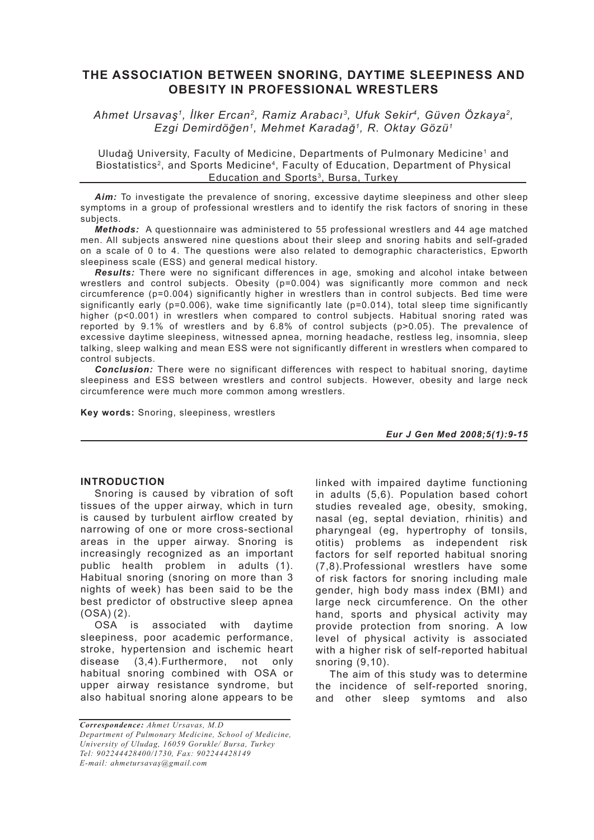# **THE ASSOCIATION BETWEEN SNORING, DAYTIME SLEEPINESS AND OBESITY IN PROFESSIONAL WRESTLERS**

*Ahmet Ursavaş1, İlker Ercan2, Ramiz Arabacı3, Ufuk Sekir4, Güven Özkaya2, Ezgi Demirdöğen1, Mehmet Karadağ1, R. Oktay Gözü1*

Uludağ University, Faculty of Medicine, Departments of Pulmonary Medicine1 and Biostatistics<sup>2</sup>, and Sports Medicine<sup>4</sup>, Faculty of Education, Department of Physical Education and Sports<sup>3</sup>, Bursa, Turkey

Aim: To investigate the prevalence of snoring, excessive daytime sleepiness and other sleep symptoms in a group of professional wrestlers and to identify the risk factors of snoring in these subjects.

*Methods:* A questionnaire was administered to 55 professional wrestlers and 44 age matched men. All subjects answered nine questions about their sleep and snoring habits and self-graded on a scale of 0 to 4. The questions were also related to demographic characteristics, Epworth sleepiness scale (ESS) and general medical history.

*Results:* There were no significant differences in age, smoking and alcohol intake between wrestlers and control subjects. Obesity (p=0.004) was significantly more common and neck circumference (p=0.004) significantly higher in wrestlers than in control subjects. Bed time were significantly early ( $p=0.006$ ), wake time significantly late ( $p=0.014$ ), total sleep time significantly higher (p<0.001) in wrestlers when compared to control subjects. Habitual snoring rated was reported by 9.1% of wrestlers and by 6.8% of control subjects (p>0.05). The prevalence of excessive daytime sleepiness, witnessed apnea, morning headache, restless leg, insomnia, sleep talking, sleep walking and mean ESS were not significantly different in wrestlers when compared to control subjects.

*Conclusion:* There were no significant differences with respect to habitual snoring, daytime sleepiness and ESS between wrestlers and control subjects. However, obesity and large neck circumference were much more common among wrestlers.

**Key words:** Snoring, sleepiness, wrestlers

*Eur J Gen Med 2008;5(1):9-15*

#### **INTRODUCTION**

Snoring is caused by vibration of soft tissues of the upper airway, which in turn is caused by turbulent airflow created by narrowing of one or more cross-sectional areas in the upper airway. Snoring is increasingly recognized as an important public health problem in adults (1). Habitual snoring (snoring on more than 3 nights of week) has been said to be the best predictor of obstructive sleep apnea (OSA) (2).

OSA is associated with daytime sleepiness, poor academic performance, stroke, hypertension and ischemic heart disease (3,4).Furthermore, not only habitual snoring combined with OSA or upper airway resistance syndrome, but also habitual snoring alone appears to be linked with impaired daytime functioning in adults (5,6). Population based cohort studies revealed age, obesity, smoking, nasal (eg, septal deviation, rhinitis) and pharyngeal (eg, hypertrophy of tonsils, otitis) problems as independent risk factors for self reported habitual snoring (7,8).Professional wrestlers have some of risk factors for snoring including male gender, high body mass index (BMI) and large neck circumference. On the other hand, sports and physical activity may provide protection from snoring. A low level of physical activity is associated with a higher risk of self-reported habitual snoring (9,10).

The aim of this study was to determine the incidence of self-reported snoring, and other sleep symtoms and also

*Correspondence: Ahmet Ursavas, M.D Department of Pulmonary Medicine, School of Medicine, University of Uludag, 16059 Gorukle/ Bursa, Turkey Tel: 902244428400/1730, Fax: 902244428149 E-mail: ahmetursavaş@gmail.com*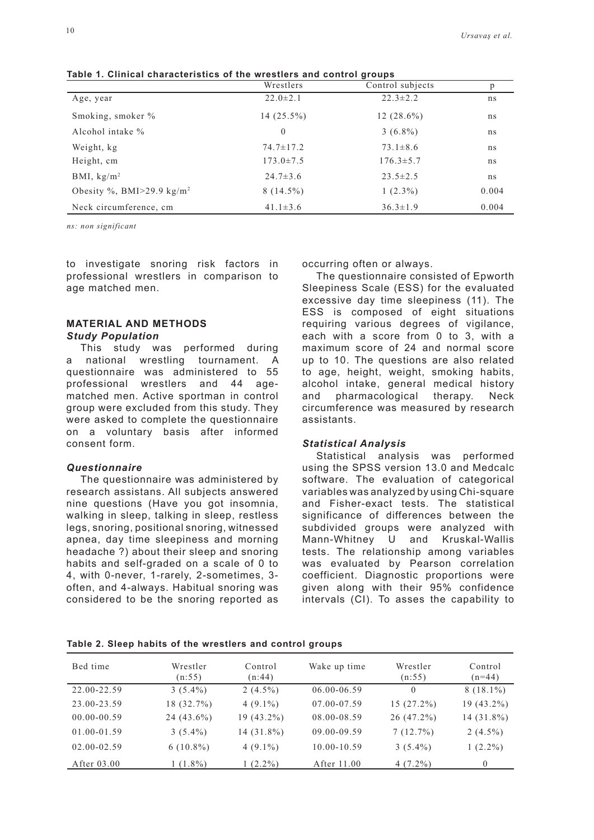|                                           | Wrestlers       | Control subjects | p     |
|-------------------------------------------|-----------------|------------------|-------|
| Age, year                                 | $22.0 \pm 2.1$  | $22.3 \pm 2.2$   | ns    |
| Smoking, smoker %                         | $14(25.5\%)$    | $12(28.6\%)$     | ns    |
| Alcohol intake %                          | $\theta$        | $3(6.8\%)$       | ns    |
| Weight, kg                                | $74.7 \pm 17.2$ | $73.1 \pm 8.6$   | ns    |
| Height, cm                                | $173.0 \pm 7.5$ | $176.3 \pm 5.7$  | ns    |
| BMI, $\text{kg/m}^2$                      | $24.7 \pm 3.6$  | $23.5 \pm 2.5$   | ns    |
| Obesity %, BMI $>$ 29.9 kg/m <sup>2</sup> | $8(14.5\%)$     | $1(2.3\%)$       | 0.004 |
| Neck circumference, cm                    | $41.1 \pm 3.6$  | $36.3 \pm 1.9$   | 0.004 |

**Table 1. Clinical characteristics of the wrestlers and control groups**

*ns: non significant*

to investigate snoring risk factors in professional wrestlers in comparison to age matched men.

## **MATERIAL AND METHODS** *Study Population*

This study was performed during a national wrestling tournament. A questionnaire was administered to 55 professional wrestlers and 44 agematched men. Active sportman in control group were excluded from this study. They were asked to complete the questionnaire on a voluntary basis after informed consent form.

#### *Questionnaire*

The questionnaire was administered by research assistans. All subjects answered nine questions (Have you got insomnia, walking in sleep, talking in sleep, restless legs, snoring, positional snoring, witnessed apnea, day time sleepiness and morning headache ?) about their sleep and snoring habits and self-graded on a scale of 0 to 4, with 0-never, 1-rarely, 2-sometimes, 3 often, and 4-always. Habitual snoring was considered to be the snoring reported as occurring often or always.

The questionnaire consisted of Epworth Sleepiness Scale (ESS) for the evaluated excessive day time sleepiness (11). The ESS is composed of eight situations requiring various degrees of vigilance, each with a score from 0 to 3, with a maximum score of 24 and normal score up to 10. The questions are also related to age, height, weight, smoking habits, alcohol intake, general medical history and pharmacological therapy. Neck circumference was measured by research assistants.

## *Statistical Analysis*

Statistical analysis was performed using the SPSS version 13.0 and Medcalc software. The evaluation of categorical variables was analyzed by using Chi-square and Fisher-exact tests. The statistical significance of differences between the subdivided groups were analyzed with Mann-Whitney U and Kruskal-Wallis tests. The relationship among variables was evaluated by Pearson correlation coefficient. Diagnostic proportions were given along with their 95% confidence intervals (CI). To asses the capability to

| Table 2. Sleep habits of the wrestlers and control groups |  |  |
|-----------------------------------------------------------|--|--|
|-----------------------------------------------------------|--|--|

| Bed time        | Wrestler<br>(n:55) | Control<br>(n:44) | Wake up time    | Wrestler<br>(n:55) | Control<br>$(n=44)$ |
|-----------------|--------------------|-------------------|-----------------|--------------------|---------------------|
| 22.00-22.59     | $3(5.4\%)$         | 2 $(4.5\%)$       | 06.00-06.59     | $\theta$           | $8(18.1\%)$         |
| 23.00-23.59     | 18 (32.7%)         | $4(9.1\%)$        | 07.00-07.59     | $15(27.2\%)$       | 19 (43.2%)          |
| $00.00 - 00.59$ | $24(43.6\%)$       | $19(43.2\%)$      | 08.00-08.59     | $26(47.2\%)$       | 14 (31.8%)          |
| 01.00-01.59     | $3(5.4\%)$         | 14 (31.8%)        | $09.00 - 09.59$ | 7(12.7%)           | 2 $(4.5\%)$         |
| $02.00 - 02.59$ | $6(10.8\%)$        | $4(9.1\%)$        | $10.00 - 10.59$ | $3(5.4\%)$         | $1(2.2\%)$          |
| After $03.00$   | $1(1.8\%)$         | $1(2.2\%)$        | After 11.00     | $4(7.2\%)$         | $\left($            |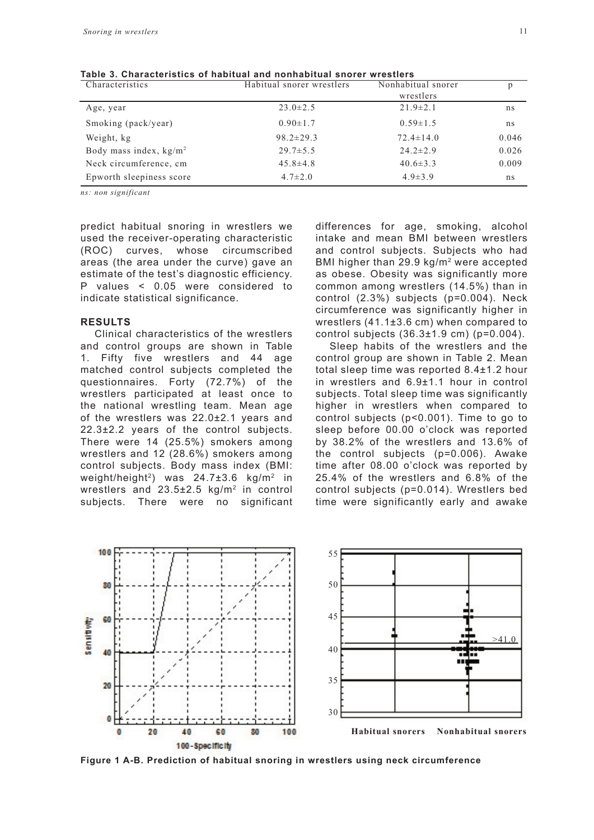| Characteristics                  | Habitual snorer wrestlers | Nonhabitual snorer | р     |
|----------------------------------|---------------------------|--------------------|-------|
|                                  |                           | wrestlers          |       |
| Age, year                        | $23.0 \pm 2.5$            | $21.9 \pm 2.1$     | ns    |
| Smoking (pack/year)              | $0.90 \pm 1.7$            | $0.59 \pm 1.5$     | ns    |
| Weight, kg                       | $98.2 \pm 29.3$           | $72.4 \pm 14.0$    | 0.046 |
| Body mass index, $\text{kg/m}^2$ | $29.7 \pm 5.5$            | $24.2 \pm 2.9$     | 0.026 |
| Neck circumference, cm           | $45.8 \pm 4.8$            | $40.6 \pm 3.3$     | 0.009 |
| Epworth sleepiness score         | $4.7 \pm 2.0$             | $4.9 \pm 3.9$      | ns    |

**Table 3. Characteristics of habitual and nonhabitual snorer wrestlers**

*ns: non significant*

predict habitual snoring in wrestlers we used the receiver-operating characteristic (ROC) curves, whose circumscribed areas (the area under the curve) gave an estimate of the test's diagnostic efficiency. P values < 0.05 were considered to indicate statistical significance.

#### **RESULTS**

Clinical characteristics of the wrestlers and control groups are shown in Table 1. Fifty five wrestlers and 44 age matched control subjects completed the questionnaires. Forty (72.7%) of the wrestlers participated at least once to the national wrestling team. Mean age of the wrestlers was 22.0±2.1 years and 22.3±2.2 years of the control subjects. There were 14 (25.5%) smokers among wrestlers and 12 (28.6%) smokers among control subjects. Body mass index (BMI: weight/height<sup>2</sup>) was  $24.7\pm3.6$  kg/m<sup>2</sup> in wrestlers and 23.5±2.5 kg/m2 in control subjects. There were no significant differences for age, smoking, alcohol intake and mean BMI between wrestlers and control subjects. Subjects who had BMI higher than 29.9 kg/m2 were accepted as obese. Obesity was significantly more common among wrestlers (14.5%) than in control (2.3%) subjects (p=0.004). Neck circumference was significantly higher in wrestlers (41.1±3.6 cm) when compared to control subjects  $(36.3 \pm 1.9 \text{ cm})$  (p=0.004).

Sleep habits of the wrestlers and the control group are shown in Table 2. Mean total sleep time was reported 8.4±1.2 hour in wrestlers and 6.9±1.1 hour in control subjects. Total sleep time was significantly higher in wrestlers when compared to control subjects (p<0.001). Time to go to sleep before 00.00 o'clock was reported by 38.2% of the wrestlers and 13.6% of the control subjects (p=0.006). Awake time after 08.00 o'clock was reported by 25.4% of the wrestlers and 6.8% of the control subjects (p=0.014). Wrestlers bed time were significantly early and awake



**Figure 1 A-B. Prediction of habitual snoring in wrestlers using neck circumference**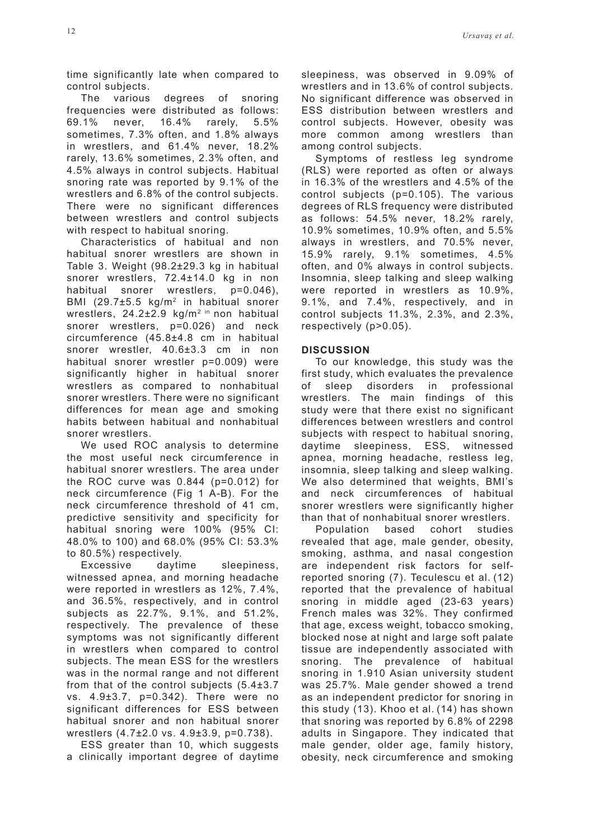time significantly late when compared to control subjects.

The various degrees of snoring frequencies were distributed as follows: 69.1% never, 16.4% rarely, 5.5% sometimes, 7.3% often, and 1.8% always in wrestlers, and 61.4% never, 18.2% rarely, 13.6% sometimes, 2.3% often, and 4.5% always in control subjects. Habitual snoring rate was reported by 9.1% of the wrestlers and 6.8% of the control subjects. There were no significant differences between wrestlers and control subjects with respect to habitual snoring.

Characteristics of habitual and non habitual snorer wrestlers are shown in Table 3. Weight (98.2±29.3 kg in habitual snorer wrestlers, 72.4±14.0 kg in non habitual snorer wrestlers, p=0.046). BMI (29.7±5.5 kg/m2 in habitual snorer wrestlers, 24.2±2.9 kg/m<sup>2 in</sup> non habitual snorer wrestlers, p=0.026) and neck circumference (45.8±4.8 cm in habitual snorer wrestler, 40.6±3.3 cm in non habitual snorer wrestler p=0.009) were significantly higher in habitual snorer wrestlers as compared to nonhabitual snorer wrestlers. There were no significant differences for mean age and smoking habits between habitual and nonhabitual snorer wrestlers.

We used ROC analysis to determine the most useful neck circumference in habitual snorer wrestlers. The area under the ROC curve was 0.844 (p=0.012) for neck circumference (Fig 1 A-B). For the neck circumference threshold of 41 cm, predictive sensitivity and specificity for habitual snoring were 100% (95% CI: 48.0% to 100) and 68.0% (95% CI: 53.3% to 80.5%) respectively.

Excessive daytime sleepiness, witnessed apnea, and morning headache were reported in wrestlers as 12%, 7.4%, and 36.5%, respectively, and in control subjects as 22.7%, 9.1%, and 51.2%, respectively. The prevalence of these symptoms was not significantly different in wrestlers when compared to control subjects. The mean ESS for the wrestlers was in the normal range and not different from that of the control subjects (5.4±3.7 vs. 4.9±3.7, p=0.342). There were no significant differences for ESS between habitual snorer and non habitual snorer wrestlers (4.7±2.0 vs. 4.9±3.9, p=0.738).

ESS greater than 10, which suggests a clinically important degree of daytime sleepiness, was observed in 9.09% of wrestlers and in 13.6% of control subjects. No significant difference was observed in ESS distribution between wrestlers and control subjects. However, obesity was more common among wrestlers than among control subjects.

Symptoms of restless leg syndrome (RLS) were reported as often or always in 16.3% of the wrestlers and 4.5% of the control subjects (p=0.105). The various degrees of RLS frequency were distributed as follows: 54.5% never, 18.2% rarely, 10.9% sometimes, 10.9% often, and 5.5% always in wrestlers, and 70.5% never, 15.9% rarely, 9.1% sometimes, 4.5% often, and 0% always in control subjects. Insomnia, sleep talking and sleep walking were reported in wrestlers as 10.9%, 9.1%, and 7.4%, respectively, and in control subjects 11.3%, 2.3%, and 2.3%, respectively (p>0.05).

# **DISCUSSION**

To our knowledge, this study was the first study, which evaluates the prevalence of sleep disorders in professional wrestlers. The main findings of this study were that there exist no significant differences between wrestlers and control subjects with respect to habitual snoring, daytime sleepiness, ESS, witnessed apnea, morning headache, restless leg, insomnia, sleep talking and sleep walking. We also determined that weights, BMI's and neck circumferences of habitual snorer wrestlers were significantly higher than that of nonhabitual snorer wrestlers.

Population based cohort studies revealed that age, male gender, obesity, smoking, asthma, and nasal congestion are independent risk factors for selfreported snoring (7). Teculescu et al. (12) reported that the prevalence of habitual snoring in middle aged (23-63 years) French males was 32%. They confirmed that age, excess weight, tobacco smoking, blocked nose at night and large soft palate tissue are independently associated with snoring. The prevalence of habitual snoring in 1.910 Asian university student was 25.7%. Male gender showed a trend as an independent predictor for snoring in this study (13). Khoo et al. (14) has shown that snoring was reported by 6.8% of 2298 adults in Singapore. They indicated that male gender, older age, family history, obesity, neck circumference and smoking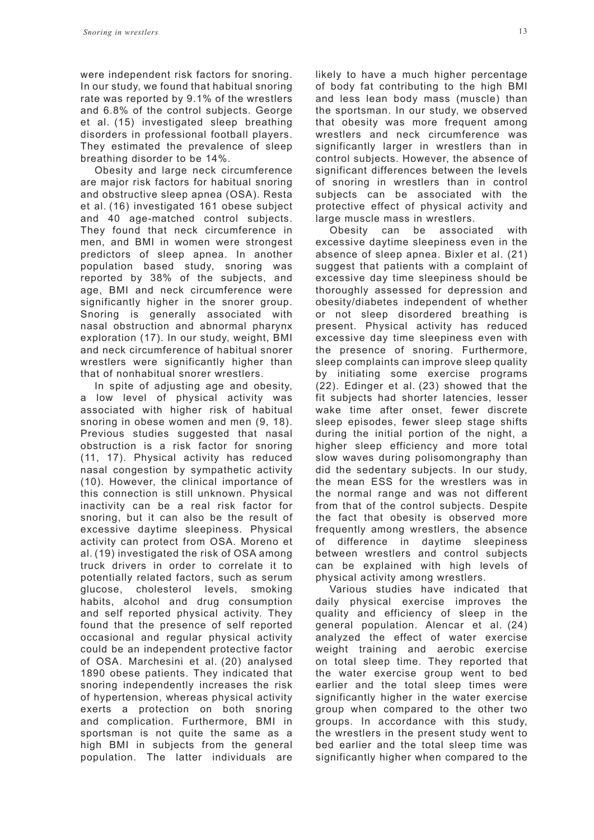were independent risk factors for snoring. In our study, we found that habitual snoring rate was reported by 9.1% of the wrestlers and 6.8% of the control subjects. George et al. (15) investigated sleep breathing disorders in professional football players. They estimated the prevalence of sleep breathing disorder to be 14%.

Obesity and large neck circumference are major risk factors for habitual snoring and obstructive sleep apnea (OSA). Resta et al. (16) investigated 161 obese subject and 40 age-matched control subjects. They found that neck circumference in men, and BMI in women were strongest predictors of sleep apnea. In another population based study, snoring was reported by 38% of the subjects, and age, BMI and neck circumference were significantly higher in the snorer group. Snoring is generally associated with nasal obstruction and abnormal pharynx exploration (17). In our study, weight, BMI and neck circumference of habitual snorer wrestlers were significantly higher than that of nonhabitual snorer wrestlers.

In spite of adjusting age and obesity, a low level of physical activity was associated with higher risk of habitual snoring in obese women and men (9, 18). Previous studies suggested that nasal obstruction is a risk factor for snoring (11, 17). Physical activity has reduced nasal congestion by sympathetic activity (10). However, the clinical importance of this connection is still unknown. Physical inactivity can be a real risk factor for snoring, but it can also be the result of excessive daytime sleepiness. Physical activity can protect from OSA. Moreno et al. (19) investigated the risk of OSA among truck drivers in order to correlate it to potentially related factors, such as serum glucose, cholesterol levels, smoking habits, alcohol and drug consumption and self reported physical activity. They found that the presence of self reported occasional and regular physical activity could be an independent protective factor of OSA. Marchesini et al. (20) analysed 1890 obese patients. They indicated that snoring independently increases the risk of hypertension, whereas physical activity exerts a protection on both snoring and complication. Furthermore, BMI in sportsman is not quite the same as a high BMI in subjects from the general population. The latter individuals are likely to have a much higher percentage of body fat contributing to the high BMI and less lean body mass (muscle) than the sportsman. In our study, we observed that obesity was more frequent among wrestlers and neck circumference was significantly larger in wrestlers than in control subjects. However, the absence of significant differences between the levels of snoring in wrestlers than in control subjects can be associated with the protective effect of physical activity and large muscle mass in wrestlers.

Obesity can be associated with excessive daytime sleepiness even in the absence of sleep apnea. Bixler et al. (21) suggest that patients with a complaint of excessive day time sleepiness should be thoroughly assessed for depression and obesity/diabetes independent of whether or not sleep disordered breathing is present. Physical activity has reduced excessive day time sleepiness even with the presence of snoring. Furthermore, sleep complaints can improve sleep quality by initiating some exercise programs (22). Edinger et al. (23) showed that the fit subjects had shorter latencies, lesser wake time after onset, fewer discrete sleep episodes, fewer sleep stage shifts during the initial portion of the night, a higher sleep efficiency and more total slow waves during polisomongraphy than did the sedentary subjects. In our study, the mean ESS for the wrestlers was in the normal range and was not different from that of the control subjects. Despite the fact that obesity is observed more frequently among wrestlers, the absence of difference in daytime sleepiness between wrestlers and control subjects can be explained with high levels of physical activity among wrestlers.

Various studies have indicated that daily physical exercise improves the quality and efficiency of sleep in the general population. Alencar et al. (24) analyzed the effect of water exercise weight training and aerobic exercise on total sleep time. They reported that the water exercise group went to bed earlier and the total sleep times were significantly higher in the water exercise group when compared to the other two groups. In accordance with this study, the wrestlers in the present study went to bed earlier and the total sleep time was significantly higher when compared to the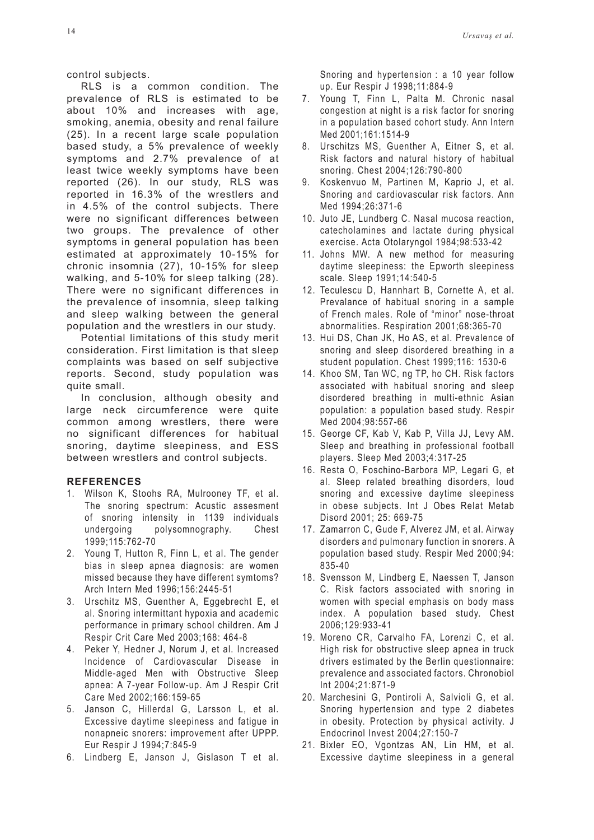control subjects.

RLS is a common condition. The prevalence of RLS is estimated to be about 10% and increases with age, smoking, anemia, obesity and renal failure (25). In a recent large scale population based study, a 5% prevalence of weekly symptoms and 2.7% prevalence of at least twice weekly symptoms have been reported (26). In our study, RLS was reported in 16.3% of the wrestlers and in 4.5% of the control subjects. There were no significant differences between two groups. The prevalence of other symptoms in general population has been estimated at approximately 10-15% for chronic insomnia (27), 10-15% for sleep walking, and 5-10% for sleep talking (28). There were no significant differences in the prevalence of insomnia, sleep talking and sleep walking between the general population and the wrestlers in our study.

Potential limitations of this study merit consideration. First limitation is that sleep complaints was based on self subjective reports. Second, study population was quite small.

In conclusion, although obesity and large neck circumference were quite common among wrestlers, there were no significant differences for habitual snoring, daytime sleepiness, and ESS between wrestlers and control subjects.

## **REFERENCES**

- 1. Wilson K, Stoohs RA, Mulrooney TF, et al. The snoring spectrum: Acustic assesment of snoring intensity in 1139 individuals undergoing polysomnography. Chest 1999;115:762-70
- 2. Young T, Hutton R, Finn L, et al. The gender bias in sleep apnea diagnosis: are women missed because they have different symtoms? Arch Intern Med 1996;156:2445-51
- 3. Urschitz MS, Guenther A, Eggebrecht E, et al. Snoring intermittant hypoxia and academic performance in primary school children. Am J Respir Crit Care Med 2003;168: 464-8
- 4. Peker Y, Hedner J, Norum J, et al. Increased Incidence of Cardiovascular Disease in Middle-aged Men with Obstructive Sleep apnea: A 7-year Follow-up. Am J Respir Crit Care Med 2002;166:159-65
- 5. Janson C, Hillerdal G, Larsson L, et al. Excessive daytime sleepiness and fatigue in nonapneic snorers: improvement after UPPP. Eur Respir J 1994;7:845-9
- 6. Lindberg E, Janson J, Gislason T et al.

Snoring and hypertension : a 10 year follow up. Eur Respir J 1998;11:884-9

- 7. Young T, Finn L, Palta M. Chronic nasal congestion at night is a risk factor for snoring in a population based cohort study. Ann Intern Med 2001;161:1514-9
- 8. Urschitzs MS, Guenther A, Eitner S, et al. Risk factors and natural history of habitual snoring. Chest 2004;126:790-800
- 9. Koskenvuo M, Partinen M, Kaprio J, et al. Snoring and cardiovascular risk factors. Ann Med 1994;26:371-6
- 10. Juto JE, Lundberg C. Nasal mucosa reaction, catecholamines and lactate during physical exercise. Acta Otolaryngol 1984;98:533-42
- 11. Johns MW. A new method for measuring daytime sleepiness: the Epworth sleepiness scale. Sleep 1991;14:540-5
- 12. Teculescu D, Hannhart B, Cornette A, et al. Prevalance of habitual snoring in a sample of French males. Role of "minor" nose-throat abnormalities. Respiration 2001;68:365-70
- 13. Hui DS, Chan JK, Ho AS, et al. Prevalence of snoring and sleep disordered breathing in a student population. Chest 1999;116: 1530-6
- 14. Khoo SM, Tan WC, ng TP, ho CH. Risk factors associated with habitual snoring and sleep disordered breathing in multi-ethnic Asian population: a population based study. Respir Med 2004;98:557-66
- 15. George CF, Kab V, Kab P, Villa JJ, Levy AM. Sleep and breathing in professional football players. Sleep Med 2003;4:317-25
- 16. Resta O, Foschino-Barbora MP, Legari G, et al. Sleep related breathing disorders, loud snoring and excessive daytime sleepiness in obese subjects. Int J Obes Relat Metab Disord 2001; 25: 669-75
- 17. Zamarron C, Gude F, Alverez JM, et al. Airway disorders and pulmonary function in snorers. A population based study. Respir Med 2000;94: 835-40
- 18. Svensson M, Lindberg E, Naessen T, Janson C. Risk factors associated with snoring in women with special emphasis on body mass index. A population based study. Chest 2006;129:933-41
- 19. Moreno CR, Carvalho FA, Lorenzi C, et al. High risk for obstructive sleep apnea in truck drivers estimated by the Berlin questionnaire: prevalence and associated factors. Chronobiol Int 2004;21:871-9
- 20. Marchesini G, Pontiroli A, Salvioli G, et al. Snoring hypertension and type 2 diabetes in obesity. Protection by physical activity. J Endocrinol Invest 2004;27:150-7
- 21. Bixler EO, Vgontzas AN, Lin HM, et al. Excessive daytime sleepiness in a general